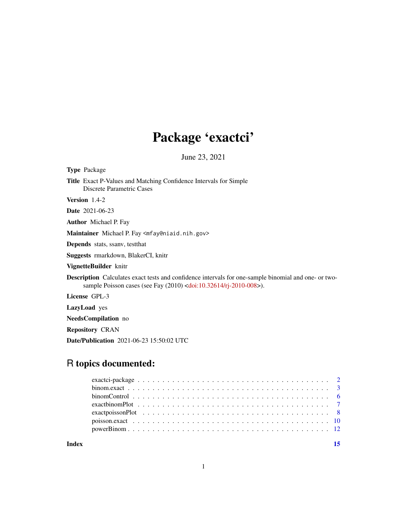# Package 'exactci'

June 23, 2021

<span id="page-0-0"></span>

| <b>Type</b> Package                                                                                                                                                               |
|-----------------------------------------------------------------------------------------------------------------------------------------------------------------------------------|
| <b>Title</b> Exact P-Values and Matching Confidence Intervals for Simple<br>Discrete Parametric Cases                                                                             |
| <b>Version</b> $1.4-2$                                                                                                                                                            |
| <b>Date</b> 2021-06-23                                                                                                                                                            |
| <b>Author</b> Michael P. Fay                                                                                                                                                      |
| Maintainer Michael P. Fay <mfay@niaid.nih.gov></mfay@niaid.nih.gov>                                                                                                               |
| <b>Depends</b> stats, ssany, test that                                                                                                                                            |
| <b>Suggests</b> rmarkdown, BlakerCI, knitr                                                                                                                                        |
| VignetteBuilder knitr                                                                                                                                                             |
| <b>Description</b> Calculates exact tests and confidence intervals for one-sample binomial and one- or two-<br>sample Poisson cases (see Fay (2010) < doi:10.32614/rj-2010-008>). |
| License GPL-3                                                                                                                                                                     |
| <b>LazyLoad</b> yes                                                                                                                                                               |
| NeedsCompilation no                                                                                                                                                               |
| <b>Repository CRAN</b>                                                                                                                                                            |

Date/Publication 2021-06-23 15:50:02 UTC

# R topics documented:

**Index** [15](#page-14-0)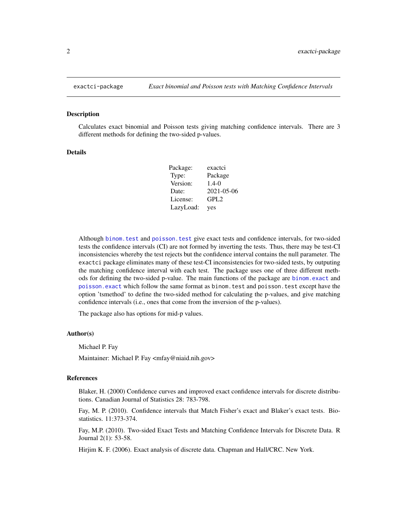<span id="page-1-0"></span>

#### Description

Calculates exact binomial and Poisson tests giving matching confidence intervals. There are 3 different methods for defining the two-sided p-values.

#### Details

| Package:  | exactci          |
|-----------|------------------|
| Type:     | Package          |
| Version:  | $1.4 - 0$        |
| Date:     | $2021 - 05 - 06$ |
| License:  | GPL <sub>2</sub> |
| LazyLoad: | yes              |

Although [binom.test](#page-0-0) and [poisson.test](#page-0-0) give exact tests and confidence intervals, for two-sided tests the confidence intervals (CI) are not formed by inverting the tests. Thus, there may be test-CI inconsistencies whereby the test rejects but the confidence interval contains the null parameter. The exactci package eliminates many of these test-CI inconsistencies for two-sided tests, by outputing the matching confidence interval with each test. The package uses one of three different methods for defining the two-sided p-value. The main functions of the package are [binom.exact](#page-2-1) and [poisson.exact](#page-9-1) which follow the same format as binom.test and poisson.test except have the option 'tsmethod' to define the two-sided method for calculating the p-values, and give matching confidence intervals (i.e., ones that come from the inversion of the p-values).

The package also has options for mid-p values.

#### Author(s)

Michael P. Fay

Maintainer: Michael P. Fay <mfay@niaid.nih.gov>

#### References

Blaker, H. (2000) Confidence curves and improved exact confidence intervals for discrete distributions. Canadian Journal of Statistics 28: 783-798.

Fay, M. P. (2010). Confidence intervals that Match Fisher's exact and Blaker's exact tests. Biostatistics. 11:373-374.

Fay, M.P. (2010). Two-sided Exact Tests and Matching Confidence Intervals for Discrete Data. R Journal 2(1): 53-58.

Hirjim K. F. (2006). Exact analysis of discrete data. Chapman and Hall/CRC. New York.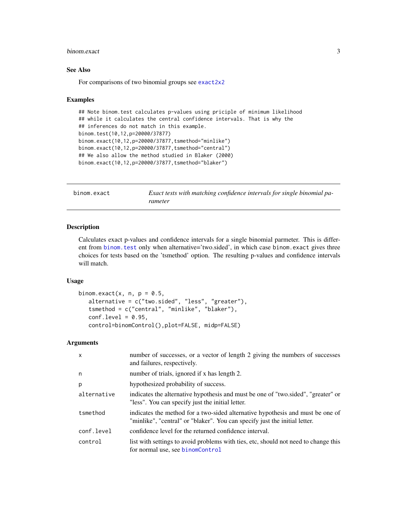#### <span id="page-2-0"></span>binom.exact 3

# See Also

For comparisons of two binomial groups see [exact2x2](#page-0-0)

#### Examples

```
## Note binom.test calculates p-values using priciple of minimum likelihood
## while it calculates the central confidence intervals. That is why the
## inferences do not match in this example.
binom.test(10,12,p=20000/37877)
binom.exact(10,12,p=20000/37877,tsmethod="minlike")
binom.exact(10,12,p=20000/37877,tsmethod="central")
## We also allow the method studied in Blaker (2000)
binom.exact(10,12,p=20000/37877,tsmethod="blaker")
```
<span id="page-2-1"></span>binom.exact *Exact tests with matching confidence intervals for single binomial parameter*

# Description

Calculates exact p-values and confidence intervals for a single binomial parmeter. This is different from binom. test only when alternative='two.sided', in which case binom. exact gives three choices for tests based on the 'tsmethod' option. The resulting p-values and confidence intervals will match.

# Usage

```
binom.exact(x, n, p = 0.5,
   alternative = c("two.sided", "less", "greater"),
   tsmethod = c("central", "minlike", "blaker"),
   conf. level = 0.95,control=binomControl(),plot=FALSE, midp=FALSE)
```
#### Arguments

| X           | number of successes, or a vector of length 2 giving the numbers of successes<br>and failures, respectively.                                                  |
|-------------|--------------------------------------------------------------------------------------------------------------------------------------------------------------|
| n           | number of trials, ignored if x has length 2.                                                                                                                 |
| p           | hypothesized probability of success.                                                                                                                         |
| alternative | indicates the alternative hypothesis and must be one of "two sided", "greater" or<br>"less". You can specify just the initial letter.                        |
| tsmethod    | indicates the method for a two-sided alternative hypothesis and must be one of<br>"minlike", "central" or "blaker". You can specify just the initial letter. |
| conf.level  | confidence level for the returned confidence interval.                                                                                                       |
| control     | list with settings to avoid problems with ties, etc, should not need to change this<br>for normal use, see binomControl                                      |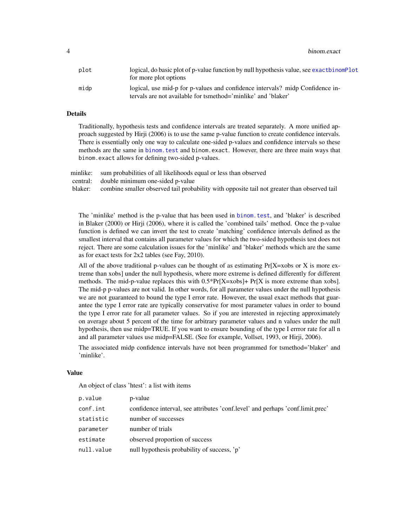<span id="page-3-0"></span>4 binom.exact

| plot | logical, do basic plot of p-value function by null hypothesis value, see exact binomplot<br>for more plot options |
|------|-------------------------------------------------------------------------------------------------------------------|
| midp | logical, use mid-p for p-values and confidence intervals? midp Confidence in-                                     |
|      | tervals are not available for tsmethod='minlike' and 'blaker'                                                     |

# Details

Traditionally, hypothesis tests and confidence intervals are treated separately. A more unified approach suggested by Hirji (2006) is to use the same p-value function to create confidence intervals. There is essentially only one way to calculate one-sided p-values and confidence intervals so these methods are the same in [binom.test](#page-0-0) and binom.exact. However, there are three main ways that binom.exact allows for defining two-sided p-values.

minlike: sum probabilities of all likelihoods equal or less than observed

central: double minimum one-sided p-value

blaker: combine smaller observed tail probability with opposite tail not greater than observed tail

The 'minlike' method is the p-value that has been used in [binom.test](#page-0-0), and 'blaker' is described in Blaker (2000) or Hirji (2006), where it is called the 'combined tails' method. Once the p-value function is defined we can invert the test to create 'matching' confidence intervals defined as the smallest interval that contains all parameter values for which the two-sided hypothesis test does not reject. There are some calculation issues for the 'minlike' and 'blaker' methods which are the same as for exact tests for 2x2 tables (see Fay, 2010).

All of the above traditional p-values can be thought of as estimating  $Pr[X=xobs or X]$  is more extreme than xobs] under the null hypothesis, where more extreme is defined differently for different methods. The mid-p-value replaces this with  $0.5*Pr[X=xobs]+Pr[X$  is more extreme than xobs]. The mid-p p-values are not valid. In other words, for all parameter values under the null hypothesis we are not guaranteed to bound the type I error rate. However, the usual exact methods that guarantee the type I error rate are typically conservative for most parameter values in order to bound the type I error rate for all parameter values. So if you are interested in rejecting approximately on average about 5 percent of the time for arbitrary parameter values and n values under the null hypothesis, then use midp=TRUE. If you want to ensure bounding of the type I errror rate for all n and all parameter values use midp=FALSE. (See for example, Vollset, 1993, or Hirji, 2006).

The associated midp confidence intervals have not been programmed for tsmethod='blaker' and 'minlike'.

#### Value

An object of class 'htest': a list with items

| p.value    | p-value                                                                        |
|------------|--------------------------------------------------------------------------------|
| conf.int   | confidence interval, see attributes 'conf.level' and perhaps 'conf.limit.prec' |
| statistic  | number of successes                                                            |
| parameter  | number of trials                                                               |
| estimate   | observed proportion of success                                                 |
| null.value | null hypothesis probability of success, 'p'                                    |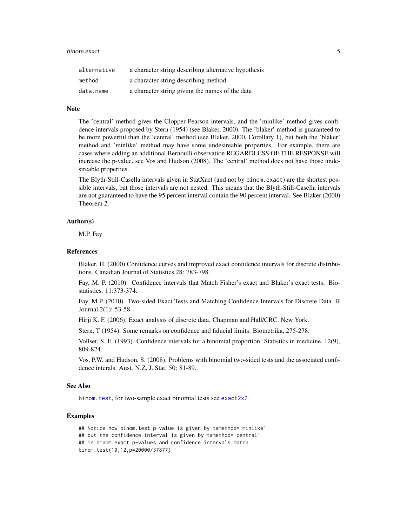#### <span id="page-4-0"></span>binom.exact 5

| alternative | a character string describing alternative hypothesis |
|-------------|------------------------------------------------------|
| method      | a character string describing method                 |
| data.name   | a character string giving the names of the data      |

# Note

The 'central' method gives the Clopper-Pearson intervals, and the 'minlike' method gives confidence intervals proposed by Stern (1954) (see Blaker, 2000). The 'blaker' method is guaranteed to be more powerful than the 'central' method (see Blaker, 2000, Corollary 1), but both the 'blaker' method and 'minlike' method may have some undesireable properties. For example, there are cases where adding an additional Bernoulli observation REGARDLESS OF THE RESPONSE will increase the p-value, see Vos and Hudson (2008). The 'central' method does not have those undesireable properties.

The Blyth-Still-Casella intervals given in StatXact (and not by binom.exact) are the shortest possible intervals, but those intervals are not nested. This means that the Blyth-Still-Casella intervals are not guaranteed to have the 95 percent interval contain the 90 percent interval. See Blaker (2000) Theorem 2.

### Author(s)

M.P. Fay

#### References

Blaker, H. (2000) Confidence curves and improved exact confidence intervals for discrete distributions. Canadian Journal of Statistics 28: 783-798.

Fay, M. P. (2010). Confidence intervals that Match Fisher's exact and Blaker's exact tests. Biostatistics. 11:373-374.

Fay, M.P. (2010). Two-sided Exact Tests and Matching Confidence Intervals for Discrete Data. R Journal 2(1): 53-58.

Hirji K. F. (2006). Exact analysis of discrete data. Chapman and Hall/CRC. New York.

Stern, T (1954). Some remarks on confidence and fiducial limits. Biometrika, 275-278.

Vollset, S. E. (1993). Confidence intervals for a binomial proportion. Statistics in medicine, 12(9), 809-824.

Vos, P.W. and Hudson, S. (2008). Problems with binomial two-sided tests and the associated confidence interals. Aust. N.Z. J. Stat. 50: 81-89.

#### See Also

[binom.test](#page-0-0), for two-sample exact binomial tests see [exact2x2](#page-0-0)

#### Examples

## Notice how binom.test p-value is given by tsmethod='minlike' ## but the confidence interval is given by tsmethod='central' ## in binom.exact p-values and confidence intervals match binom.test(10,12,p=20000/37877)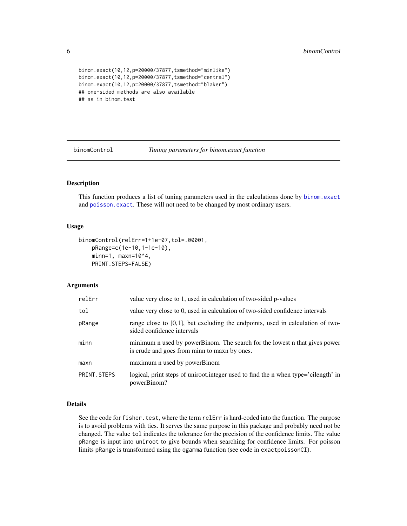```
binom.exact(10,12,p=20000/37877,tsmethod="minlike")
binom.exact(10,12,p=20000/37877,tsmethod="central")
binom.exact(10,12,p=20000/37877,tsmethod="blaker")
## one-sided methods are also available
## as in binom.test
```
<span id="page-5-1"></span>binomControl *Tuning parameters for binom.exact function*

# Description

This function produces a list of tuning parameters used in the calculations done by [binom.exact](#page-2-1) and [poisson.exact](#page-9-1). These will not need to be changed by most ordinary users.

### Usage

```
binomControl(relErr=1+1e-07,tol=.00001,
    pRange=c(1e-10,1-1e-10),
    minn=1, maxn=10^4,
    PRINT.STEPS=FALSE)
```
# Arguments

| relErr      | value very close to 1, used in calculation of two-sided p-values                                                           |
|-------------|----------------------------------------------------------------------------------------------------------------------------|
| tol         | value very close to 0, used in calculation of two-sided confidence intervals                                               |
| pRange      | range close to $[0,1]$ , but excluding the endpoints, used in calculation of two-<br>sided confidence intervals            |
| minn        | minimum n used by powerBinom. The search for the lowest n that gives power<br>is crude and goes from minn to maxn by ones. |
| maxn        | maximum n used by powerBinom                                                                                               |
| PRINT.STEPS | logical, print steps of uniroot.integer used to find the n when type='cilength' in<br>powerBinom?                          |

#### Details

See the code for fisher.test, where the term relErr is hard-coded into the function. The purpose is to avoid problems with ties. It serves the same purpose in this package and probably need not be changed. The value tol indicates the tolerance for the precision of the confidence limits. The value pRange is input into uniroot to give bounds when searching for confidence limits. For poisson limits pRange is transformed using the qgamma function (see code in exactpoissonCI).

<span id="page-5-0"></span>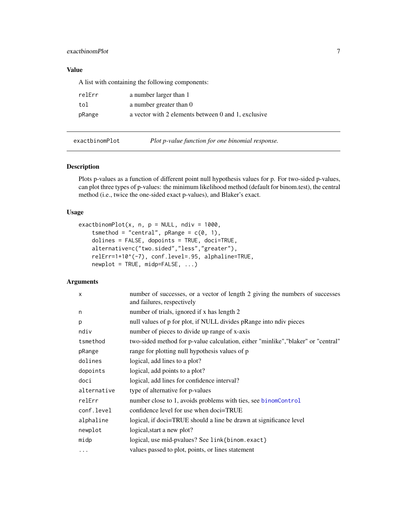# <span id="page-6-0"></span>exactbinomPlot 7

# Value

A list with containing the following components:

| relErr | a number larger than 1                              |
|--------|-----------------------------------------------------|
| tol    | a number greater than 0                             |
| pRange | a vector with 2 elements between 0 and 1, exclusive |

<span id="page-6-1"></span>

exactbinomPlot *Plot p-value function for one binomial response.*

#### Description

Plots p-values as a function of different point null hypothesis values for p. For two-sided p-values, can plot three types of p-values: the minimum likelihood method (default for binom.test), the central method (i.e., twice the one-sided exact p-values), and Blaker's exact.

# Usage

```
exactbinomPlot(x, n, p = NULL, ndiv = 1000,tsmethod = "central", pRange = c(0, 1),
   dolines = FALSE, dopoints = TRUE, doci=TRUE,
   alternative=c("two.sided","less","greater"),
   relErr=1+10^(-7), conf.level=.95, alphaline=TRUE,
   newplot = TRUE, midp=FALSE, ...)
```
# Arguments

| $\mathsf{x}$ | number of successes, or a vector of length 2 giving the numbers of successes<br>and failures, respectively |
|--------------|------------------------------------------------------------------------------------------------------------|
| n            | number of trials, ignored if x has length 2                                                                |
| p            | null values of p for plot, if NULL divides pRange into ndiv pieces                                         |
| ndiv         | number of pieces to divide up range of x-axis                                                              |
| tsmethod     | two-sided method for p-value calculation, either "minlike", "blaker" or "central"                          |
| pRange       | range for plotting null hypothesis values of p                                                             |
| dolines      | logical, add lines to a plot?                                                                              |
| dopoints     | logical, add points to a plot?                                                                             |
| doci         | logical, add lines for confidence interval?                                                                |
| alternative  | type of alternative for p-values                                                                           |
| relErr       | number close to 1, avoids problems with ties, see binomControl                                             |
| conf.level   | confidence level for use when doci=TRUE                                                                    |
| alphaline    | logical, if doci=TRUE should a line be drawn at significance level                                         |
| newplot      | logical, start a new plot?                                                                                 |
| midp         | logical, use mid-pvalues? See link{binom.exact}                                                            |
| $\cdots$     | values passed to plot, points, or lines statement                                                          |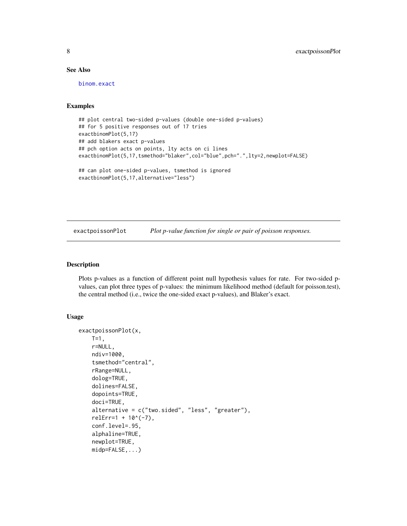# See Also

[binom.exact](#page-2-1)

# Examples

```
## plot central two-sided p-values (double one-sided p-values)
## for 5 positive responses out of 17 tries
exactbinomPlot(5,17)
## add blakers exact p-values
## pch option acts on points, lty acts on ci lines
exactbinomPlot(5,17,tsmethod="blaker",col="blue",pch=".",lty=2,newplot=FALSE)
## can plot one-sided p-values, tsmethod is ignored
exactbinomPlot(5,17,alternative="less")
```
<span id="page-7-1"></span>exactpoissonPlot *Plot p-value function for single or pair of poisson responses.*

#### Description

Plots p-values as a function of different point null hypothesis values for rate. For two-sided pvalues, can plot three types of p-values: the minimum likelihood method (default for poisson.test), the central method (i.e., twice the one-sided exact p-values), and Blaker's exact.

#### Usage

```
exactpoissonPlot(x,
    T=1,
    r=NULL,
    ndiv=1000,
    tsmethod="central",
    rRange=NULL,
    dolog=TRUE,
    dolines=FALSE,
    dopoints=TRUE,
    doci=TRUE,
    alternative = c("two.sided", "less", "greater"),
    relErr=1 + 10^(-7),
    conf.level=.95,
    alphaline=TRUE,
    newplot=TRUE,
    midp=FALSE,...)
```
<span id="page-7-0"></span>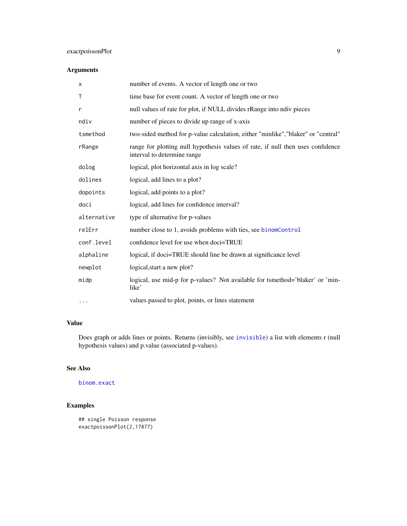# <span id="page-8-0"></span>exactpoissonPlot 9

# Arguments

| X           | number of events. A vector of length one or two                                                                |
|-------------|----------------------------------------------------------------------------------------------------------------|
| Τ           | time base for event count. A vector of length one or two                                                       |
| r           | null values of rate for plot, if NULL divides rRange into ndiv pieces                                          |
| ndiv        | number of pieces to divide up range of x-axis                                                                  |
| tsmethod    | two-sided method for p-value calculation, either "minlike", "blaker" or "central"                              |
| rRange      | range for plotting null hypothesis values of rate, if null then uses confidence<br>interval to determine range |
| dolog       | logical, plot horizontal axis in log scale?                                                                    |
| dolines     | logical, add lines to a plot?                                                                                  |
| dopoints    | logical, add points to a plot?                                                                                 |
| doci        | logical, add lines for confidence interval?                                                                    |
| alternative | type of alternative for p-values                                                                               |
| relErr      | number close to 1, avoids problems with ties, see binomControl                                                 |
| conf.level  | confidence level for use when doci=TRUE                                                                        |
| alphaline   | logical, if doci=TRUE should line be drawn at significance level                                               |
| newplot     | logical, start a new plot?                                                                                     |
| midp        | logical, use mid-p for p-values? Not available for tsmethod='blaker' or 'min-<br>like'                         |
| $\cdots$    | values passed to plot, points, or lines statement                                                              |

# Value

Does graph or adds lines or points. Returns (invisibly, see [invisible](#page-0-0)) a list with elements r (null hypothesis values) and p.value (associated p-values).

# See Also

[binom.exact](#page-2-1)

# Examples

```
## single Poisson response
exactpoissonPlot(2,17877)
```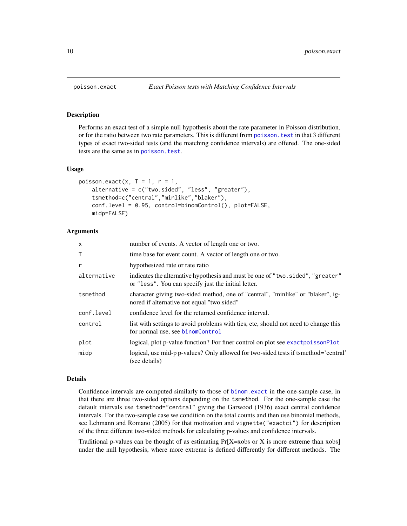#### **Description**

Performs an exact test of a simple null hypothesis about the rate parameter in Poisson distribution, or for the ratio between two rate parameters. This is different from [poisson.test](#page-0-0) in that 3 different types of exact two-sided tests (and the matching confidence intervals) are offered. The one-sided tests are the same as in [poisson.test](#page-0-0).

# Usage

```
poisson.exact(x, T = 1, r = 1,
    alternative = c("two.sided", "less", "greater"),
    tsmethod=c("central","minlike","blaker"),
    conf.level = 0.95, control=binomControl(), plot=FALSE,
    midp=FALSE)
```
## Arguments

| X           | number of events. A vector of length one or two.                                                                                      |
|-------------|---------------------------------------------------------------------------------------------------------------------------------------|
| Τ           | time base for event count. A vector of length one or two.                                                                             |
| r           | hypothesized rate or rate ratio                                                                                                       |
| alternative | indicates the alternative hypothesis and must be one of "two.sided", "greater"<br>or "less". You can specify just the initial letter. |
| tsmethod    | character giving two-sided method, one of "central", "minlike" or "blaker", ig-<br>nored if alternative not equal "two.sided"         |
| conf.level  | confidence level for the returned confidence interval.                                                                                |
| control     | list with settings to avoid problems with ties, etc, should not need to change this<br>for normal use, see binomControl               |
| plot        | logical, plot p-value function? For finer control on plot see exactpoissonPlot                                                        |
| midp        | logical, use mid-p p-values? Only allowed for two-sided tests if tsmethod='central'<br>see details)                                   |

#### Details

Confidence intervals are computed similarly to those of [binom.exact](#page-2-1) in the one-sample case, in that there are three two-sided options depending on the tsmethod. For the one-sample case the default intervals use tsmethod="central" giving the Garwood (1936) exact central confidence intervals. For the two-sample case we condition on the total counts and then use binomial methods, see Lehmann and Romano (2005) for that motivation and vignette("exactci") for description of the three different two-sided methods for calculating p-values and confidence intervals.

Traditional p-values can be thought of as estimating  $Pr[X=x \text{ obs or } X \text{ is more extreme than x \text{ obs}}]$ under the null hypothesis, where more extreme is defined differently for different methods. The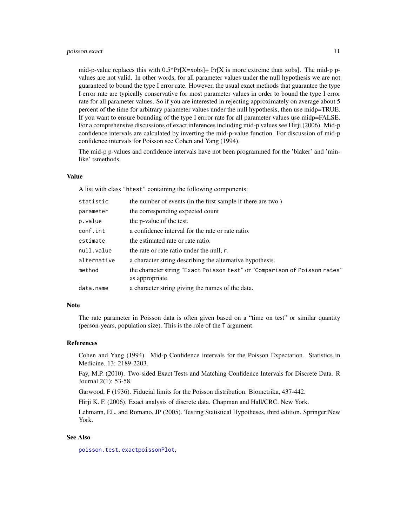#### <span id="page-10-0"></span>poisson.exact 11

mid-p-value replaces this with  $0.5*Pr[X=xdbs]+ Pr[X$  is more extreme than xobs]. The mid-p pvalues are not valid. In other words, for all parameter values under the null hypothesis we are not guaranteed to bound the type I error rate. However, the usual exact methods that guarantee the type I error rate are typically conservative for most parameter values in order to bound the type I error rate for all parameter values. So if you are interested in rejecting approximately on average about 5 percent of the time for arbitrary parameter values under the null hypothesis, then use midp=TRUE. If you want to ensure bounding of the type I errror rate for all parameter values use midp=FALSE. For a comprehensive discussions of exact inferences including mid-p values see Hirji (2006). Mid-p confidence intervals are calculated by inverting the mid-p-value function. For discussion of mid-p confidence intervals for Poisson see Cohen and Yang (1994).

The mid-p p-values and confidence intervals have not been programmed for the 'blaker' and 'minlike' tsmethods.

#### Value

A list with class "htest" containing the following components:

| statistic   | the number of events (in the first sample if there are two.)                                  |
|-------------|-----------------------------------------------------------------------------------------------|
| parameter   | the corresponding expected count                                                              |
| p.value     | the p-value of the test.                                                                      |
| conf.int    | a confidence interval for the rate or rate ratio.                                             |
| estimate    | the estimated rate or rate ratio.                                                             |
| null.value  | the rate or rate ratio under the null, r.                                                     |
| alternative | a character string describing the alternative hypothesis.                                     |
| method      | the character string "Exact Poisson test" or "Comparison of Poisson rates"<br>as appropriate. |
| data.name   | a character string giving the names of the data.                                              |
|             |                                                                                               |

#### **Note**

The rate parameter in Poisson data is often given based on a "time on test" or similar quantity (person-years, population size). This is the role of the T argument.

#### References

Cohen and Yang (1994). Mid-p Confidence intervals for the Poisson Expectation. Statistics in Medicine. 13: 2189-2203.

Fay, M.P. (2010). Two-sided Exact Tests and Matching Confidence Intervals for Discrete Data. R Journal 2(1): 53-58.

Garwood, F (1936). Fiducial limits for the Poisson distribution. Biometrika, 437-442.

Hirji K. F. (2006). Exact analysis of discrete data. Chapman and Hall/CRC. New York.

Lehmann, EL, and Romano, JP (2005). Testing Statistical Hypotheses, third edition. Springer:New York.

# See Also

[poisson.test](#page-0-0), [exactpoissonPlot](#page-7-1),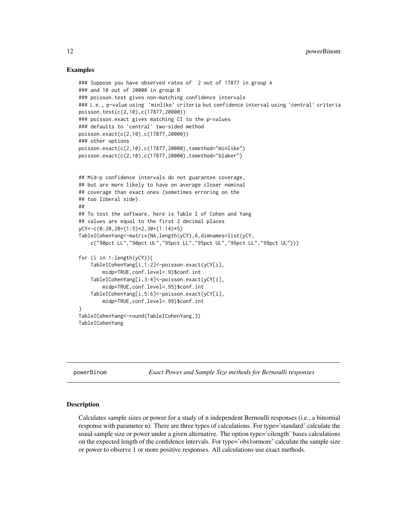# Examples

```
### Suppose you have observed rates of 2 out of 17877 in group A
### and 10 out of 20000 in group B
### poisson.test gives non-matching confidence intervals
### i.e., p-value using 'minlike' criteria but confidence interval using 'central' criteria
poisson.test(c(2,10),c(17877,20000))
### poisson.exact gives matching CI to the p-values
### defaults to 'central' two-sided method
poisson.exact(c(2,10),c(17877,20000))
### other options
poisson.exact(c(2,10),c(17877,20000),tsmethod="minlike")
poisson.exact(c(2,10),c(17877,20000),tsmethod="blaker")
## Mid-p confidence intervals do not guarantee coverage,
## but are more likely to have on average closer nominal
## coverage than exact ones (sometimes erroring on the
## too liberal side).
##
## To test the software, here is Table I of Cohen and Yang
## values are equal to the first 2 decimal places
yCY<-c(0:20,20+(1:5)*2,30+(1:14)*5)
TableICohenYang<-matrix(NA,length(yCY),6,dimnames=list(yCY,
    c("90pct LL","90pct UL","95pct LL","95pct UL","99pct LL","99pct UL")))
for (i in 1:length(yCY)){
    TableICohenYang[i,1:2]<-poisson.exact(yCY[i],
       midp=TRUE,conf.level=.9)$conf.int
   TableICohenYang[i,3:4]<-poisson.exact(yCY[i],
       midp=TRUE,conf.level=.95)$conf.int
   TableICohenYang[i,5:6]<-poisson.exact(yCY[i],
       midp=TRUE,conf.level=.99)$conf.int
}
TableICohenYang<-round(TableICohenYang,3)
TableICohenYang
```
powerBinom *Exact Power and Sample Size methods for Bernoulli responses*

#### Description

Calculates sample sizes or power for a study of n independent Bernoulli responses (i.e., a binomial response with parameter n). There are three types of calculations. For type='standard' calculate the usual sample size or power under a given alternative. The option type='cilength' bases calculations on the expected length of the confidence intervals. For type='obs1ormore' calculate the sample size or power to observe 1 or more positive responses. All calculations use exact methods.

<span id="page-11-0"></span>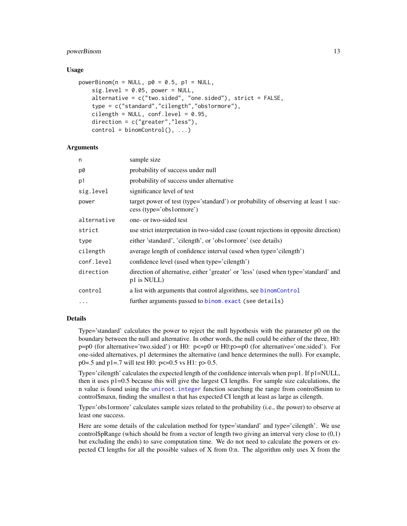# <span id="page-12-0"></span>powerBinom 13

#### Usage

```
powerBinom(n = NULL, p0 = 0.5, p1 = NULL,
   sig. level = 0.05, power = NULL,
    alternative = c("two.sided", "one.sided"), strict = FALSE,
    type = c("standard","cilength","obs1ormore"),
    cilength = NULL, conf.level = 0.95,
    direction = c("greater","less"),
    control = binomControl(), ...)
```
# Arguments

| n           | sample size                                                                                                    |
|-------------|----------------------------------------------------------------------------------------------------------------|
| p0          | probability of success under null                                                                              |
| p1          | probability of success under alternative                                                                       |
| sig.level   | significance level of test                                                                                     |
| power       | target power of test (type='standard') or probability of observing at least 1 suc-<br>cess (type='obs1ormore') |
| alternative | one- or two-sided test                                                                                         |
| strict      | use strict interpretation in two-sided case (count rejections in opposite direction)                           |
| type        | either 'standard', 'cilength', or 'obs1ormore' (see details)                                                   |
| cilength    | average length of confidence interval (used when type='cilength')                                              |
| conf.level  | confidence level (used when type='cilength')                                                                   |
| direction   | direction of alternative, either 'greater' or 'less' (used when type='standard' and<br>p1 is NULL)             |
| control     | a list with arguments that control algorithms, see binomControl                                                |
| $\cdots$    | further arguments passed to binom. exact (see details)                                                         |

# Details

Type='standard' calculates the power to reject the null hypothesis with the parameter p0 on the boundary between the null and alternative. In other words, the null could be either of the three, H0: p=p0 (for alternative='two.sided') or H0: p<=p0 or H0:p>=p0 (for alternative='one.sided'). For one-sided alternatives, p1 determines the alternative (and hence determines the null). For example, p0=.5 and p1=.7 will test H0:  $p \le 0.5$  vs H1:  $p > 0.5$ .

Type='cilength' calculates the expected length of the confidence intervals when p=p1. If p1=NULL, then it uses p1=0.5 because this will give the largest CI lengths. For sample size calculations, the n value is found using the [uniroot.integer](#page-0-0) function searching the range from control\$minn to control\$maxn, finding the smallest n that has expected CI length at least as large as cilength.

Type='obs1ormore' calculates sample sizes related to the probability (i.e., the power) to observe at least one success.

Here are some details of the calculation method for type='standard' and type='cilength'. We use control\$pRange (which should be from a vector of length two giving an interval very close to  $(0,1)$ ) but excluding the ends) to save computation time. We do not need to calculate the powers or expected CI lengths for all the possible values of X from 0:n. The algorithm only uses X from the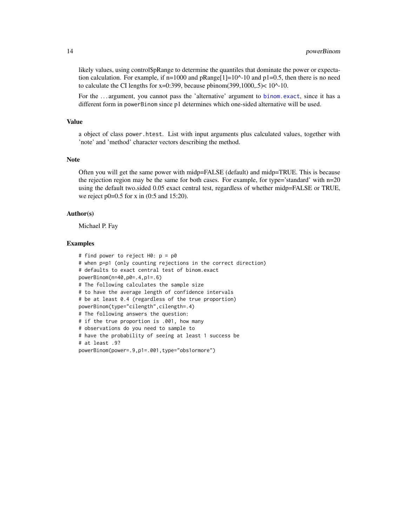likely values, using control\$pRange to determine the quantiles that dominate the power or expectation calculation. For example, if  $n=1000$  and  $p$ Range[1]=10^-10 and  $p1=0.5$ , then there is no need to calculate the CI lengths for  $x=0:399$ , because pbinom(399,1000,.5)<10^-10.

For the ... argument, you cannot pass the 'alternative' argument to [binom.exact](#page-2-1), since it has a different form in powerBinom since p1 determines which one-sided alternative will be used.

# Value

a object of class power.htest. List with input arguments plus calculated values, together with 'note' and 'method' character vectors describing the method.

#### Note

Often you will get the same power with midp=FALSE (default) and midp=TRUE. This is because the rejection region may be the same for both cases. For example, for type='standard' with  $n=20$ using the default two.sided 0.05 exact central test, regardless of whether midp=FALSE or TRUE, we reject p0=0.5 for x in (0:5 and 15:20).

#### Author(s)

Michael P. Fay

#### Examples

```
# find power to reject H0: p = p0
# when p=p1 (only counting rejections in the correct direction)
# defaults to exact central test of binom.exact
powerBinom(n=40,p0=.4,p1=.6)
# The following calculates the sample size
# to have the average length of confidence intervals
# be at least 0.4 (regardless of the true proportion)
powerBinom(type="cilength",cilength=.4)
# The following answers the question:
# if the true proportion is .001, how many
# observations do you need to sample to
# have the probability of seeing at least 1 success be
# at least .9?
powerBinom(power=.9,p1=.001,type="obs1ormore")
```
<span id="page-13-0"></span>